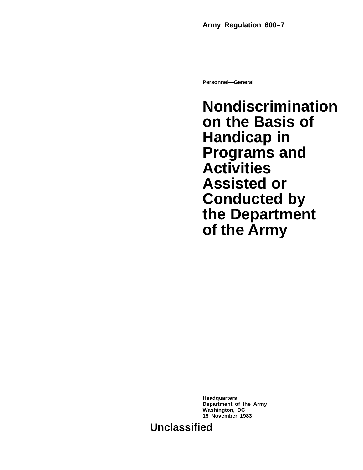**Personnel—General**

**Nondiscrimination on the Basis of Handicap in Programs and Activities Assisted or Conducted by the Department of the Army**

**Headquarters Department of the Army Washington, DC 15 November 1983**

**Unclassified**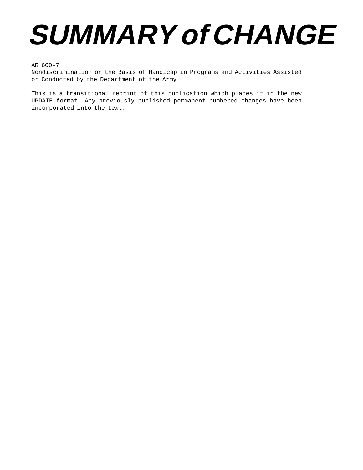# **SUMMARY of CHANGE**

AR 600–7

Nondiscrimination on the Basis of Handicap in Programs and Activities Assisted or Conducted by the Department of the Army

This is a transitional reprint of this publication which places it in the new UPDATE format. Any previously published permanent numbered changes have been incorporated into the text.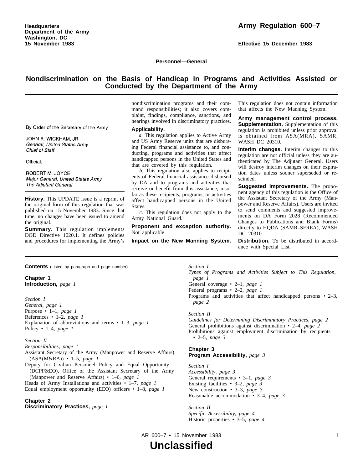**Effective 15 December 1983**

**Personnel—General**

# **Nondiscrimination on the Basis of Handicap in Programs and Activities Assisted or Conducted by the Department of the Army**

By Order of the Secretary of the Army:

JOHN A. WICKHAM, JR General, United States Army Chief of Staff

Official:

ROBERT M. JOYCE Major General, United States Army The Adjutant General

**History.** This UPDATE issue is a reprint of the original form of this regulation that was published on 15 November 1983. Since that time, no changes have been issued to amend the original.

**Summary.** This regulation implements DOD Directive 1020.1. It defines policies and procedures for implementing the Army's

nondiscrimination programs and their comm and responsibilities; it also covers complaint, findings, compliance, sanctions, and hearings involved in discriminatory practices.

#### **Applicability.**

*a.* This regulation applies to Active Army and US Army Reserve units that are disbursing Federal financial assistance to, and conducting, programs and activities that affect handicapped persons in the United States and that are covered by this regulation.

*b.* This regulation also applies to recipients of Federal financial assistance disbursed by DA and to programs and activities that receive or benefit from this assistance, insofar as these recipients, programs, or activities affect handicapped persons in the United States.

*c.* This regulation does not apply to the Army National Guard.

**Proponent and exception authority.** Not applicable

**Impact on the New Manning System.**

This regulation does not contain information that affects the New Manning System.

Army management control process. **Supplementation.** Supplementation of this regulation is prohibited unless prior approval is obtained from ASA(MRA), SAMR, WASH DC 20310.

**Interim changes.** Interim changes to this regulation are not official unless they are authenticated by The Adjutant General. Users will destroy interim changes on their expiration dates unless sooner superseded or rescinded.

**Suggested Improvements.** The proponent agency of this regulation is the Office of the Assistant Secretary of the Army (Manpower and Reserve Affairs). Users are invited to send comments and suggested improvements on DA Form 2028 (Recommended Changes to Publications and Blank Forms) directly to HQDA (SAMR–SFREA), WASH DC 20310.

**Distribution.** To be distributed in accordance with Special List.

**Contents** (Listed by paragraph and page number)

# **Chapter 1 Introduction,** *page 1*

*Section I General, page 1* Purpose • 1–1, *page 1* References • 1–2, *page 1* Explanation of abbreviations and terms • 1–3, *page 1* Policy • 1–4, *page 1*

#### *Section II*

*Responsibilities, page 1* Assistant Secretary of the Army (Manpower and Reserve Affairs) (ASA(M&RA)) • 1–5, *page 1*

Deputy for Civilian Personnel Policy and Equal Opportunity (DCPP&EO), Office of the Assistant Secretary of the Army (Manpower and Reserve Affairs) • 1–6, *page 1*

Heads of Army Installations and activities • 1–7, *page 1* Equal employment opportunity (EEO) officers • 1–8, *page 1*

# **Chapter 2**

**Discriminatory Practices,** *page 1*

*Section I*

*Types of Programs and Activities Subject to This Regulation, page 1*

General coverage • 2–1, *page 1*

Federal programs • 2–2, *page 1*

Programs and activities that affect handicapped persons • 2–3, *page 2*

#### *Section II*

*Guidelines for Determining Discriminatory Practices, page 2* General prohibitions against discrimination • 2–4, *page 2* Prohibitions against employment discrimination by recipients • 2–5, *page 3*

#### **Chapter 3 Program Accessibility,** *page 3*

*Section I Accessibility, page 3* General requirements • 3–1, *page 3* Existing facilities • 3–2, *page 3* New construction • 3–3, *page 3* Reasonable accommodation • 3–4, *page 3*

*Section II Specific Accessibility, page 4* Historic properties • 3–5, *page 4*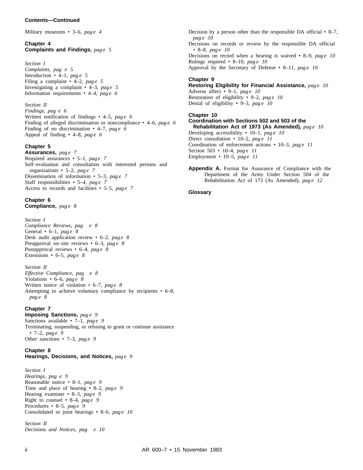Military museums • 3–6, *pag e 4*

# **Chapter 4 Complaints and Findings,** *pag e 5*

*Section I Complaints, pag e 5* Introduction  $\cdot$  4–1, *pag e* 5 Filing a complaint  $\cdot$  4-2, *page* 5 Investigating a complaint  $\cdot$  4–3, *page* 5 Information requirements • 4–4, *pag e 6*

#### *Section II*

*Findings, pag e 6* Written notification of findings • 4–5, *pag e 6* Finding of alleged discrimination or noncompliance • 4–6, *pag e 6* Finding of no discrimination  $\cdot$  4–7, *page 6* Appeal of finding  $\cdot$  4–8, *page* 6

# **Chapter 5**

**Assurances,** *pag e 7* Required assurances • 5–1, *pag e 7* Self–evaluation and consultation with interested persons and organizations • 5–2, *pag e 7* Dissemination of information • 5–3, pag *e* 7 Staff responsibilities • 5–4, *pag e 7* Access to records and facilities • 5–5, *pag e 7*

#### **Chapter 6 Compliance,** *pag e 8*

*Section I Compliance Reviews, pag e 8* General • 6–1, *pag e 8* Desk audit application review • 6–2, *pag e 8* Preapproval on–site reviews • 6–3, *pag e 8* Postapproval reviews • 6–4, *pag e 8* Extensions • 6–5, *pag e 8*

#### *Section II*

*Effective Compliance, pag e 8* Violations • 6–6, *pag e 8* Written notice of violation • 6–7, *page 8* Attempting to achieve voluntary compliance by recipients • 6–8, *pag e 8*

# **Chapter 7**

**Imposing Sanctions,** *pag e 9* Sanctions available • 7–1, *pag e 9* Terminating, suspending, or refusing to grant or continue assistance • 7–2, *pag e 9* Other sanctions • 7–3, *pag e 9*

# **Chapter 8**

# **Hearings, Decisions, and Notices,** *pag e 9*

*Section I Hearings, pag e 9* Reasonable notice • 8–1, *pag e 9* Time and place of hearing • 8–2, *pag e 9* Hearing examiner • 8–3, *pag e 9* Right to counsel • 8–4, *pag e 9* Procedures • 8–5, *pag e 9* Consolidated or joint hearings • 8–6, *pag e 10*

*Section II Decisions and Notices, pag e 10* Decision by a person other than the responsible DA official  $\cdot$  8–7, *pag e 10* Decisions on records or review by the responsible DA official • 8–8, *pag e 10* Decisions on record when a hearing is waived • 8–9, *pag e 10* Rulings required • 8–10, *pag e 10* Approval by the Secretary of Defense • 8-11, pag e 10

## **Chapter 9**

**Restoring Eligibility for Financial Assistance,** *pag e 10* Adverse affect • 9–1, *pag e 10* Restoration of eligibility • 9–2, *pag e 10* Denial of eligibility • 9-3, pag e 10

#### **Chapter 10**

**Coordination with Sections 502 and 503 of the Rehabilitation Act of 1973 (As Amended),** *pag e 10* Developing accessibility • 10–1, *pag e 10* Direct consultation • 10–2, *pag e 11* Coordination of enforcement actions • 10–3, *pag e 11* Section 503 • 10–4, *pag e 11* Employment • 10–5, *pag e 11*

**Appendix A.** Format for Assurance of Compliance with the Department of the Army Under Section 504 of the Rehabilitation Act of 173 (As Amended), *pag e 12*

#### **Glossary**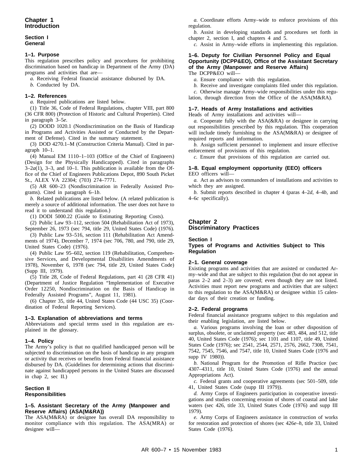#### **Section I General**

# **1–1. Purpose**

This regulation prescribes policy and procedures for prohibiting discrimination based on handicap in Department of the Army (DA) programs and activities that are—

*a.* Receiving Federal financial assistance disbursed by DA.

*b.* Conducted by DA.

# **1–2. References**

*a.* Required publications are listed below.

(1) Title 36, Code of Federal Regulations, chapter VIII, part 800 (36 CFR 800) (Protection of Historic and Cultural Properties). Cited in paragraph 3–5*e*.

(2) DODD 1020.1 (Nondiscrimination on the Basis of Handicap in Programs and Activities Assisted or Conducted by the Department of Defense). Cited in the summary statement.

(3) DOD 4270.1–M (Construction Criteria Manual). Cited in paragraph 10–1.

(4) Manual EM 1110–1–103 (Office of the Chief of Engineers) (Design for the Physically Handicapped). Cited in paragraphs  $3-2a(1)$ ,  $3-3$ , and  $10-1$ . This publication is available from the Office of the Chief of Engineers Publications Depot, 890 South Picket St., ALEX VA 22304; (703) 274–7771.

(5) AR 600–23 (Nondiscrimination in Federally Assisted Programs). Cited in paragraph 6–1*b*.

*b.* Related publications are listed below. (A related publication is merely a source of additional information. The user does not have to read it to understand this regulation.)

(1) DODI 5000.22 (Guide to Estimating Reporting Costs).

(2) Public Law 93–112, section 504 (Rehabilitation Act of 1973), September 26, 1973 (sec 794, title 29, United States Code) (1976).

(3) Public Law 93–516, section 111 (Rehabilitation Act Amendments of 1974), December 7, 1974 (sec 706, 780, and 790, title 29, United States Code) (1976).

(4) Public Law 95–602, section 119 (Rehabilitation, Comprehensive Services, and Developmental Disabilities Amendments of 1978), November 6, 1978 (sec 794, title 29, United States Code) (Supp III, 1979).

(5) Title 28, Code of Federal Regulations, part 41 (28 CFR 41) (Department of Justice Regulation "Implementation of Executive Order 12250, Nondiscrimination on the Basis of Handicap in Federally Assisted Programs", August 11, 1981).

(6) Chapter 35, title 44, United States Code (44 USC 35) (Coordination of Federal Reporting Services).

#### **1–3. Explanation of abbreviations and terms**

Abbreviations and special terms used in this regulation are explained in the glossary.

# **1–4. Policy**

The Army's policy is that no qualified handicapped person will be subjected to discrimination on the basis of handicap in any program or activity that receives or benefits from Federal financial assistance disbursed by DA. (Guidelines for determining actions that discriminate against handicapped persons in the United States are discussed in chap 2, sec II.)

# **Section II Responsibilities**

## **1–5. Assistant Secretary of the Army (Manpower and Reserve Affairs) (ASA(M&RA))**

The ASA(M&RA) or designee has overall DA responsibility to monitor compliance with this regulation. The ASA(MRA) or designee will—

*a.* Coordinate efforts Army–wide to enforce provisions of this regulation.

*b.* Assist in developing standards and procedures set forth in chapter 2, section I, and chapters 4 and 5.

*c.* Assist in Army–wide efforts in implementing this regulation.

#### **1–6. Deputy for Civilian Personnel Policy and Equal Opportunity (DCPP&EO), Office of the Assistant Secretary of the Army (Manpower and Reserve Affairs)** The DCPP&EO will—

*a.* Ensure compliance with this regulation.

*b.* Receive and investigate complaints filed under this regulation. *c.* Otherwise manage Army–wide responsibilities under this regu-

lation, through direction from the Office of the ASA(M&RA).

# **1–7. Heads of Army Installations and activities**

Heads of Army installations and activities will—

*a.* Cooperate fully with the ASA(&RA) or designee in carrying out responsibilities prescribed by this regulation. This cooperation will include timely furnishing to the ASA(M&RA) or designee of required reports and information.

*b.* Assign sufficient personnel to implement and insure effective enforcement of provisions of this regulation.

*c.* Ensure that provisions of this regulation are carried out.

#### **1–8. Equal employment opportunity (EEO) officers** EEO officers will—

*a.* Act as advisors to commanders of installations and activities to which they are assigned.

*b.* Submit reports described in chapter 4 (paras 4–2*d*, 4–4*b*, and 4–6*c* specifically).

# **Chapter 2 Discriminatory Practices**

# **Section I**

**Types of Programs and Activities Subject to This Regulation**

# **2–1. General coverage**

Existing programs and activities that are assisted or conducted Army–wide and that are subject to this regulation (but do not appear in paras 2–2 and 2–3) are covered; even though they are not listed. Activities must report new programs and activities that are subject to this regulation to the ASA(M&RA) or designee within 15 calendar days of their creation or funding.

# **2–2. Federal programs**

Federal financial assistance programs subject to this regulation and their enabling legislation, are listed below.

*a.* Various programs involving the loan or other disposition of surplus, obsolete, or unclaimed property (sec 483, 484, and 512, title 40, United States Code (1976); sec 1101 and 1107, title 49, United States Code (1976); sec 2541, 2544, 2571, 2576, 2662, 7308, 7541, 7542, 7545, 7546, and 7547, title 10, United States Code (1976 and supp IV 1980)).

*b.* National Program for the Promotion of Rifle Practice (sec 4307–4311, title 10, United States Code (1976) and the annual Appropriations Act).

*c.* Federal grants and cooperative agreements (sec 501–509, title 41, United States Code (supp III 1979)).

*d.* Army Corps of Engineers participation in cooperative investigations and studies concerning erosion of shores of coastal and lake waters (sec 426, title 33, United States Code (1976) and supp III 1979).

*e.* Army Corps of Engineers assistance in construction of works for restoration and protection of shores (sec 426*e*–*h*, title 33, United States Code (1976).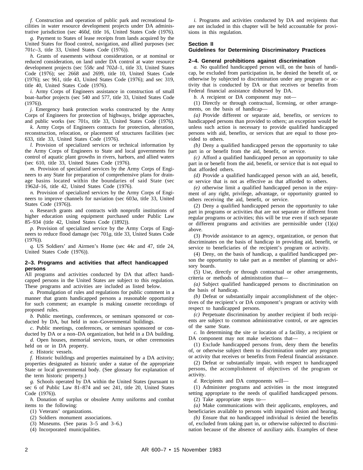*f.* Construction and operation of public park and recreational facilities in water resource development projects under DA administrative jurisdiction (sec 460*d*, title 16, United States Code (1976).

*g.* Payment to States of lease receipts from lands acquired by the United States for flood control, navigation, and allied purposes (sec 701*c*–3, title 33, United States Code (1976)).

*h.* Grants of easements without consideration, or at nominal or reduced consideration, on land under DA control at water resource development projects (sec 558*c* and 702*d*–1, title 33, United States Code (1976); sec 2668 and 2699, title 10, United States Code (1976); sec 961, title 43, United States Code (1976); and sec 319, title 40, United States Code (1976).

*i.* Army Corps of Engineers assistance in construction of small boat–harbor projects (sec 540 and 577, title 33, United States Code (1976)).

*j.* Emergency bank protection works constructed by the Army Corps of Engineers for protection of highways, bridge approaches, and public works (sec 701*s*, title 33, United States Code (1976).

*k.* Army Corps of Engineers contracts for protection, alteration, reconstruction, relocation, or placement of structures facilities (sec 633, title 33, United States Code (1976).

*l.* Provision of specialized services or technical information by the Army Corps of Engineers to State and local governments for control of aquatic plant growths in rivers, harbors, and allied waters (sec 610, title 33, United States Code (1976).

*m.* Provision of specialized services by the Army Corps of Engineers to any State for preparation of comprehensive plans for drainage basins located within the boundaries of said State (sec 1962*d*–16, title 42, United States Code (1976).

*n.* Provision of specialized services by the Army Corps of Engineers to improve channels for naviation (sec 603*a*, title 33, United States Code (1976)).

*o.* Research grants and contracts with nonprofit institutions of higher education using equipment purchased under Public Law 85–934 (title 42, United States Code (1892)).

*p.* Provision of specialized service by the Army Corps of Engineers to reduce flood damage (sec 701*g*, title 33, United States Code (1976)).

*q.* US Soldiers' and Airmen's Home (sec 44*c* and 47, title 24, United States Code (1976)).

#### **2–3. Programs and activities that affect handicapped persons**

All programs and activities conducted by DA that affect handicapped persons in the United States are subject to this regulation. These programs and activities are included as listed below.

*a.* Promulgation of rules and regulations for public comment in a manner that grants handicapped persons a reasonable opportunity for such comment; an example is making cassette recordings of proposed rules.

*b.* Public meetings, conferences, or seminars sponsored or conducted by DA, but held in non–Governmental buildings.

*c.* Public meetings, conferences, or seminars sponsored or conducted by DA or a non–DA organization, but held in a DA building.

*d.* Open houses, memorial services, tours, or other ceremonies held on or in DA property.

*e.* Historic vessels.

*f.* Historic buildings and properties maintained by a DA activity; properties designated as historic under a statue of the appropriate State or local governmental body. (See glossary for explanation of the term historic property.)

*g.* Schools operated by DA within the United States (pursuant to sec 6 of Public Law 81–874 and sec 241, title 20, United States Code (1976)).

*h.* Donation of surplus or obsolete Army uniforms and combat items to the following:

(1) Veterans' organizations.

(2) Soldiers monument associations.

(3) Museums. (See paras 3–5 and 3–6.)

(4) Incorporated municipalities.

*i.* Programs and activities conducted by DA and recipients that are not included in this chapter will be held accountable for provisions in this regulation.

# **Section II**

# **Guidelines for Determining Discriminatory Practices**

# **2–4. General prohibitions against discrimination**

*a.* No qualified handicapped person will, on the basis of handicap, be excluded from participation in, be denied the benefit of, or otherwise by subjected to discrimination under any program or activity that is conducted by DA or that receives or benefits from Federal financial assistance disbursed by DA.

*b.* A recipient or DA component may not—

(1) Directly or through contractual, licensing, or other arrangements, on the basis of handicap—

*(a)* Provide different or separate aid, benefits, or services to handicapped persons than provided to others; an exception would be unless such action is necessary to provide qualified handicapped persons with aid, benefits, or services that are equal to those provided to others.

*(b)* Deny a qualified handicapped person the opportunity to take part in or benefit from the aid, benefit, or service.

*(c)* Afford a qualified handicapped person an opportunity to take part in or benefit from the aid, benefit, or service that is not equal to that afforded others.

*(d)* Provide a qualified handicapped person with an aid, benefit, or service that is not as effective as that afforded to others.

*(e)* otherwise limit a qualified handicapped person in the enjoyment of any right, privilege, advantage, or opportunity granted to others receiving the aid, benefit, or service.

(2) Deny a qualified handicapped person the opportunity to take part in programs or activities that are not separate or different from regular programs or activities; this will be true even if such separate or different programs and activities are permissible under (1)*(a)* above.

(3) Provide assistance to an agency, organization, or person that discriminates on the basis of handicap in providing aid, benefit, or service to beneficiaries of the recipient's program or activity.

(4) Deny, on the basis of handicap, a qualified handicapped person the opportunity to take part as a member of planning or advisory boards.

(5) Use, directly or through contractual or other arrangements, criteria or methods of administration that—

*(a)* Subject qualified handicapped persons to discrimination on the basis of handicap.

*(b)* Defeat or substantially impair accomplishment of the objectives of the recipient's or DA component's program or activity with respect to handicapped persons.

*(c)* Perpetuate discrimination by another recipient if both recipients are subject to common administrative control, or are agencies of the same State.

*c.* In determining the site or location of a facility, a recipient or DA component may not make selections that—

(1) Exclude handicapped persons from, deny them the benefits of, or otherwise subject them to discrimination under any program or activity that receives or benefits from Federal financial assistance.

(2) Defeat or substantially impair, with respect to handicapped persons, the accomplishment of objectives of the program or activity.

*d.* Recipients and DA components will—

(1) Administer programs and activities in the most integrated setting appropriate to the needs of qualified handicapped persons.

(2) Take appropriate steps to—

*(a)* Make communications with their applicants, employees, and beneficiaries available to persons with impaired vision and hearing.

*(b)* Ensure that no handicapped individual is denied the benefits of, excluded from taking part in, or otherwise subjected to discrimination because of the absence of auxiliary aids. Examples of these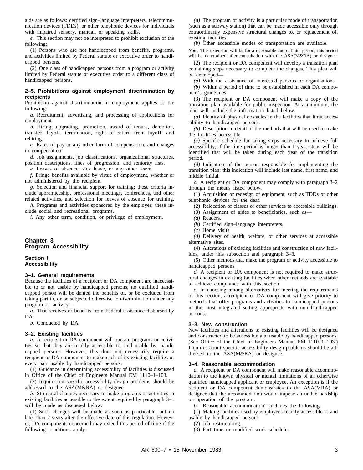aids are as follows: certified sign–language interpreters, telecommunication devices (TDDs), or other telephonic devices for individuals with impaired sensory, manual, or speaking skills.

*e.* This section may not be interpreted to prohibit exclusion of the following:

(1) Persons who are not handicapped from benefits, programs, and activities limited by Federal statute or executive order to handicapped persons.

(2) One class of handicapped persons from a program or activity limited by Federal statute or executive order to a different class of handicapped persons.

#### **2–5. Prohibitions against employment discrimination by recipients**

Prohibition against discrimination in employment applies to the following:

*a.* Recruitment, advertising, and processing of applications for employment.

*b.* Hiring, upgrading, promotion, award of tenure, demotion, transfer, layoff, termination, right of return from layoff, and rehiring.

*c.* Rates of pay or any other form of compensation, and changes in compensation.

*d.* Job assignments, job classifications, organizational structures, position descriptions, lines of progression, and seniority lists.

*e.* Leaves of absence, sick leave, or any other leave.

*f.* Fringe benefits available by virtue of employment, whether or not administered by the recipient.

*g.* Selection and financial support for training; these criteria include apprenticeship, professional meetings, conferences, and other related activities, and selection for leaves of absence for training.

*h.* Programs and activities sponsored by the employer; these include social and recreational programs.

*i.* Any other term, condition, or privilege of employment.

# **Chapter 3 Program Accessibility**

#### **Section I Accessibility**

#### **3–1. General requirements**

Because the facilities of a recipient or DA component are inaccessible to or not usable by handicapped persons, no qualified handicapped person will be denied the benefits of, or be excluded from taking part in, or be subjected otherwise to discrimination under any program or activity—

*a.* That receives or benefits from Federal assistance disbursed by DA.

*b.* Conducted by DA.

#### **3–2. Existing facilities**

*a.* A recipient or DA component will operate programs or activities so that they are readily accessible to, and usable by, handicapped persons. However, this does not necessarily require a recipient or DA component to make each of its existing facilities or every part usable by handicapped persons.

(1) Guidance in determining accessibility of facilities is discussed in Office of the Chief of Engineers Manual EM 1110–1–103.

(2) Inquires on specific accessibility design problems should be addressed to the ASA(M&RA) or designee.

*b.* Structural changes necessary to make programs or activities in existing facilities accessible to the extent required by paragraph 3–1 will be made as discussed below.

(1) Such changes will be made as soon as practicable, but no later than 2 years after the effective date of this regulation. However, DA components concerned may extend this period of time if the following conditions apply:

*(a)* The program or activity is a particular mode of transportation (such as a subway station) that can be made accessible only through extraordinarily expensive structural changes to, or replacement of, existing facilities.

*(b)* Other accessible modes of transportation are available.

*Note*. This extension will be for a reasonable and definite period; this period will be determined after consultation with the ASA(M&RA) or designee.

(2) The recipient or DA component will develop a transition plan containing steps necessary to complete the changes. This plan will be developed—

*(a)* With the assistance of interested persons or organizations.

*(b)* Within a period of time to be established in each DA component's guidelines.

(3) The recipient or DA component will make a copy of the transition plan available for public inspection. At a minimum, the plan will include the information listed below.

*(a)* Identity of physical obstacles in the facilities that limit accessibility to handicapped persons.

*(b)* Description in detail of the methods that will be used to make the facilities accessible.

*(c)* Specific schedule for taking steps necessary to achieve full accessibility; if the time period is longer than 1 year, steps will be identified that will be taken during each year of the transition period.

*(d)* Indication of the person responsible for implementing the transition plan; this indication will include last name, first name, and middle initial.

*c.* A recipient or DA component may comply with paragraph 3–2 through the means listed below.

(1) Acquisition or redesign of equipment, such as TDDs or other telephonic devices for the deaf.

(2) Relocation of classes or other services to accessible buildings.

(3) Assignment of aides to beneficiaries, such as—

*(b)* Certified sign–language interpreters.

*(c)* Home visits.

*(d)* Delivery of health, welfare, or other services at accessible alternative sites.

(4) Alterations of existing facilities and construction of new facilities, under this subsection and paragraph 3–3.

(5) Other methods that make the program or activity accessible to handicapped persons.

*d.* A recipient or DA component is not required to make structural changes in existing facilities when other methods are available to achieve compliance with this section.

*e.* In choosing among alternatives for meeting the requirements of this section, a recipient or DA component will give priority to methods that offer programs and activities to handicapped persons in the most integrated setting appropriate with non–handicapped persons.

#### **3–3. New construction**

New facilities and alterations to existing facilities will be designed and constructed to be accessible and usable by handicapped persons. (See Office of the Chief of Engineers Manual EM 1110–1–103.) Inquiries about specific accessibility design problems should be addressed to the ASA(M&RA) or designee.

#### **3–4. Reasonable accommodation**

*a.* A recipient or DA component will make reasonable accommodation to the known physical or mental limitations of an otherwise qualified handicapped applicant or employee. An exception is if the recipient or DA component demonstrates to the ASA(MRA) or designee that the accommodation would impose an undue hardship on operation of the program.

*b.* "Reasonable accommodation" includes the following:

(1) Making facilities used by employees readily accessible to and usable by handicapped persons.

(2) Job restructuring.

(3) Part–time or modified work schedules.

<sup>(</sup>a) Readers.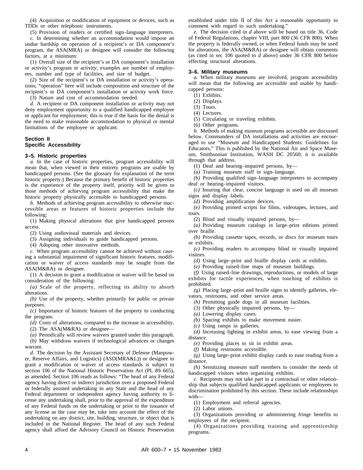(4) Acquisition or modification of equipment or devices, such as TDDs or other telephonic instruments.

(5) Provision of readers or certified sign–language interpreters.

*c.* In determining whether an accommodation would impose an undue hardship on operation of a recipient's or DA component's program, the ASA(MRA) or designee will consider the following factors, at a minimum:

(1) Overall size of the recipient's or DA component's installation or activity's program or activity; examples are number of employees, number and type of facilities, and size of budget.

(2) Size of the recipient's or DA installation or activity's operations; "operation" here will include composition and structure of the recipient's or DA component's installation or activity work force.

(3) Nature and cost of accommodation needed.

*d.* A recipient or DA component installation or activity may not deny employment opportunity to a qualified handicapped employee or applicant for employment; this is true if the basis for the denial is the need to make reasonable accommodation to physical or mental limitations of the employee or applicant.

#### **Section II Specific Accessibility**

#### **3–5. Historic properties**

*a.* In the case of historic properties, program accessibility will mean that, when viewed in their entirety programs are usable by handicapped persons. (See the glossary for explanation of the term historic property.) Because the primary benefit of historic properties is the experience of the property itself, priority will be given to those methods of achieving program accessibility that make the historic property physically accessible to handicapped persons.

*b.* Methods of achieving program accessibility to otherwise inaccessible areas or features of historic properties include the following:

(1) Making physical alterations that give handicapped persons access.

(2) Using audiovisual materials and devices.

(3) Assigning individuals to guide handicapped persons.

(4) Adopting other innovative methods.

*c.* When program accessibility cannot be achieved without causing a substantial impairment of significant historic features, modification or waiver of access standards may be sought from the ASA(M&RA) or designee.

(1) A decision to grant a modification or waiver will be based on consideration of the following:

 $(a)$  Scale of the property, reflecting its ability to absorb alterations.

*(b)* Use of the property, whether primarily for public or private purposes.

*(c)* Importance of historic features of the property to conducting the program.

*(d)* Costs of alterations, compared to the increase in accessibility.

(2) The ASA(M&RA) or designee—

*(a)* Periodically will review waivers granted under this paragraph.

*(b)* May withdraw waivers if technological advances or changes warrant.

*d.* The decision by the Assistant Secretary of Defense (Manpower, Reserve Affairs, and Logistics) (ASD(MRA&L)) or designee to grant a modification or waiver of access standards is subject to section 106 of the National Historic Preservation Act (PL 89–665), as amended. Section 106 reads as follows: "The head of any Federal agency having direct or indirect jurisdiction over a proposed Federal or federally assisted undertaking in any State and the head of any Federal department or independent agency having authority to license any undertaking shall, prior to the approval of the expenditure of any Federal funds on the undertaking or prior to the issuance of any license as the case may be, take into account the effect of the undertaking on any district, site, building, structure, or object that is included in the National Register. The head of any such Federal agency shall afford the Advisory Council on Historic Preservation

established under title II of this Act a reasonable opportunity to comment with regard to such undertaking."

*e.* The decision cited in *d* above will be based on title 36, Code of Federal Regulations, chapter VIII, part 800 (36 CFR 800). When the property is federally owned, or when Federal funds may be used for alterations, the ASA(M&RA) or designee will obtain comments (as cited in sec 106 quoted in *d* above) under 36 CFR 800 before effecting structural alterations.

#### **3–6. Military museums**

*a.* When military museums are involved, program accessibility will mean that the following are accessible and usable by handicapped persons:

(1) Exhibits.

- (2) Displays.
- (3) Tours.
- (4) Lectures.
- (5) Circulating or traveling exhibits.
- (6) Other programs.

*b.* Methods of making museum programs accessible are discussed below. Commanders of DA installations and activities are encouraged to use "Museum and Handicapped Students: Guidelines for Educators," This is published by the National Air and Space Museum, Smithsonian Institution, WASH DC 20560; it is available through that address.

(1) Deaf and hearing–impaired persons, by—

*(a)* Training museum staff in sign–language.

*(b)* Providing qualified sign–language interpreters to accompany deaf or hearing–impaired visitors.

*(c)* Insuring that clear, concise language is used on all museum signs and display labels.

*(d)* Providing amplification devices.

*(e)* Providing printed scripts for films, videotapes, lectures, and tours.

(2) Blind and visually impaired persons, by—

*(a)* Providing museum catalogs in large–print editions printed over braille.

*(b)* Providing cassette tapes, records, or discs for museum tours or exhibits.

*(c)* Providing readers to accompany blind or visually impaired visitors.

*(d)* Using large–print and braille display cards at exhibits.

*(e)* Providing raised–line maps of museum buildings.

*(f)* Using raised–line drawings, reproductions, or models of large exhibits for tactile experiences, when touching of exhibits is prohibited.

*(g)* Placing large–print and braille signs to identify galleries, elevators, restrooms, and other service areas.

*(h)* Permitting guide dogs in all museum facilities.

(3) Other physically impaired persons, by—

*(a)* Lowering display cases.

*(b)* Spacing exhibits to make movement easier.

*(c)* Using ramps in galleries.

*(d)* Increasing lighting in exhibit areas, to ease viewing from a distance.

*(e)* Providing places to sit in exhibit areas.

*(f)* Making restrooms accessible.

*(g)* Using large–print exhibit display cards to ease reading from a distance.

*(h)* Sensitizing museum staff members to consider the needs of handicapped visitors when organizing exhibits.

*c.* Recipients may not take part in a contractual or other relationship that subjects qualified handicapped applicants or employees to discrimination prohibited by this section. These include relationships with—

(1) Employment and referral agencies.

(2) Labor unions.

(3) Organizations providing or administering fringe benefits to employees of the recipient.

(4) Organizations providing training and apprenticeship programs.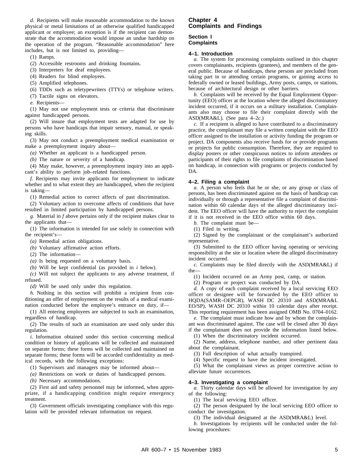*d.* Recipients will make reasonable accommodation to the known physical or metal limitations of an otherwise qualified handicapped applicant or employee; an exception is if the recipient can demonstrate that the accommodation would impose an undue hardship on the operation of the program. "Reasonable accommodation" here includes, but is not limited to, providing—

(1) Ramps.

(2) Accessible restrooms and drinking fountains.

(3) Interpreters for deaf employees.

(4) Readers for blind employees.

(5) Amplified telephones.

(6) TDDs such as teletypewriters (TTYs) or telephone writers.

(7) Tactile signs on elevators.

*e.* Recipients—

(1) May not use employment tests or criteria that discriminate against handicapped persons.

(2) Will insure that employment tests are adapted for use by persons who have handicaps that impair sensory, manual, or speaking skills.

(3) May not conduct a preemployment medical examination or make a preemployment inquiry about—

*(a)* Whether an applicant is a handicapped person.

*(b)* The nature or severity of a handicap.

(4) May make, however, a preemployment inquiry into an applicant's ability to perform job–related functions.

*f.* Recipients may invite applicants for employment to indicate whether and to what extent they are handicapped, when the recipient is taking—

(1) Remedial action to correct affects of past discrimination.

(2) Voluntary action to overcome affects of conditions that have resulted in limited participation by handicapped persons.

*g.* Material in *f* above pertains only if the recipient makes clear to the applicants that—

(1) The information is intended for use solely in connection with the recipient's—

*(a)* Remedial action obligations.

*(b)* Voluntary affirmative action efforts.

(2) The information—

*(a)* Is being requested on a voluntary basis.

*(b)* Will be kept confidential (as provided in *i* below).

*(c)* Will not subject the applicants to any adverse treatment, if refused.

*(d)* Will be used only under this regulation.

*h.* Nothing in this section will prohibit a recipient from conditioning an offer of employment on the results of a medical examination conducted before the employee's entrance on duty, if—

(1) All entering employees are subjected to such an examination, regardless of handicap.

(2) The results of such an examination are used only under this regulation.

*i.* Information obtained under this section concerning medical condition or history of applicants will be collected and maintained on separate forms; these forms will be collected and maintained on separate forms; these forms will be accorded confidentiality as medical records, with the following exceptions:

(1) Supervisors and managers may be informed about—

*(a)* Restrictions on work or duties of handicapped persons.

*(b)* Necessary accommodations.

(2) First aid and safety personnel may be informed, when appropriate, if a handicapping condition might require emergency treatment.

(3) Government officials investigating compliance with this regulation will be provided relevant information on request.

# **Chapter 4 Complaints and Findings**

#### **Section I Complaints**

#### **4–1. Introduction**

*a.* The system for processing complaints outlined in this chapter covers complainants, recipients (grantees), and members of the general public. Because of handicaps, these persons are precluded from taking part in or attending certain programs, or gaining access to federally owned or leased buildings, Army posts, camps, or stations, because of architectural design or other barriers.

*b.* Complaints will be received by the Equal Employment Opportunity (EEO) officer at the location where the alleged discriminatory incident occurred, if it occurs on a military installation. Complainants also may choose to file their complaint directly with the ASD(MRA&L). (See para 4–2*c*.)

*c.* If a recipient is alleged to have contributed to a discriminatory practice, the complainant may file a written complaint with the EEO officer assigned to the installation or activity funding the program or project. DA components also receive funds for or provide programs or projects for public consumption. Therefore, they are required to display posters or other conspicuous notices to inform attendees or participants of their rights to file complaints of discrimination based on handicap, in connection with programs or projects conducted by DA.

#### **4–2. Filing a complaint**

*a.* A person who feels that he or she, or any group or class of persons, has been discriminated against on the basis of handicap can individually or through a representative file a complaint of discrimination within 60 calendar days of the alleged discriminatory incident. The EEO officer will have the authority to reject the complaint

if it is not received in the EEO office within 60 days. *b.* The complaint must be—

(1) Filed in writing.

(2) Signed by the complainant or the complainant's authorized representative.

(3) Submitted to the EEO officer having operating or servicing responsibility at the site or location where the alleged discriminatory incident occurred.

*c.* Complaints may be filed directly with the ASD(MRA&L) if the—

(1) Incident occurred on an Army post, camp, or station.

(2) Program or project was conducted by DA.

*d.* A copy of each complaint received by a local servicing EEO officer or designee will be forwarded by the EEO officer to HQDA(SAMR-OEPGR), WASH DC 20310 and ASD(MRA&L EO/SP), WASH DC 20310 within 10 calendar days after receipt. This reporting requirement has been assigned OMB No. 0704–0162.

*e.* The complaint must indicate how and by whom the complainant was discriminated against. The case will be closed after 30 days if the complainant does not provide the information listed below.

(1) When the discriminatory incident occurred.

(2) Name, address, telephone number, and other pertinent data about the complainant.

(3) Full description of what actually transpired.

(4) Specific request to have the incident investigated.

(5) What the complainant views as proper corrective action to alleviate future occurrences.

#### **4–3. Investigating a complaint**

*a.* Thirty calendar days will be allowed for investigation by any of the following:

(1) The local servicing EEO officer.

(2) The person designated by the local servicing EEO officer to conduct the investigation.

(3) The individual designated at the ASD(MRA&L) level.

*b.* Investigations by recipients will be conducted under the following procedures: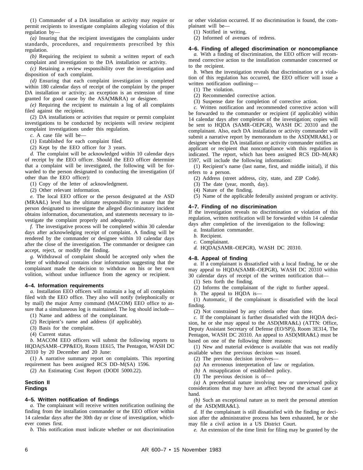(1) Commander of a DA installation or activity may require or permit recipients to investigate complaints alleging violation of this regulation by—

*(a)* Insuring that the recipient investigates the complaints under standards, procedures, and requirements prescribed by this regulation.

*(b)* Requiring the recipient to submit a written report of each complaint and investigation to the DA installation or activity.

*(c)* Retaining a review responsibility over the investigation and disposition of each complaint.

*(d)* Ensuring that each complaint investigation is completed within 180 calendar days of receipt of the complaint by the proper DA installation or activity; an exception is an extension of time granted for good cause by the ASA(M&RA) or designee.

*(e)* Requiring the recipient to maintain a log of all complaints filed against the recipient.

(2) DA installations or activities that require or permit complaint investigations to be conducted by recipients will review recipient complaint investigations under this regulation.

*c.* A case file will be—

(1) Established for each complaint filed.

(2) Kept by the EEO officer for 3 years.

*d.* The complaint will be acknowledged within 10 calendar days of receipt by the EEO officer. Should the EEO officer determine that a complaint will be investigated, the following will be forwarded to the person designated to conducting the investigation (if other than the EEO officer):

(1) Copy of the letter of acknowledgment.

(2) Other relevant information.

*e.* The local EEO officer or the person designated at the ASD (MRA&L) level has the ultimate responsibility to assure that the person designated to investigate the alleged discriminatory incident obtains information, documentation, and statements necessary to investigate the complaint properly and adequately.

*f.* The investigative process will be completed within 30 calendar days after acknowledging receipt of complaint. A finding will be rendered by the commander or designee within 10 calendar days after the close of the investigation. The commander or designee can accept, reject, or modify the finding.

*g.* Withdrawal of complaint should be accepted only when the letter of withdrawal contains clear information suggesting that the complainant made the decision to withdraw on his or her own volition, without undue influence from the agency or recipient.

#### **4–4. Information requirements**

*a.* Installation EEO officers will maintain a log of all complaints filed with the EEO office. They also will notify (telephonically or by mail) the major Army command (MACOM) EEO office to assure that a simultaneous log is maintained. The log should include—

(1) Name and address of the complainant. (2) Recipient's name and address (if applicable).

(3) Basis for the complaint.

(4) Current status.

*b.* MACOM EEO officers will submit the following reports to HQDA(SAMR–CPP&EO), Room 1E615, The Pentagon, WASH DC 20310 by 20 December and 20 June:

(1) A narrative summary report on complaints. This reporting requirement has been assigned RCS DD–M(SA) 1596.

(2) An Estimating Cost Report (DODI 5000.22).

## **Section II Findings**

#### **4–5. Written notification of findings**

*a.* The complainant will receive written notification outlining the finding from the installation commander or the EEO officer within 14 calendar days after the 30th day or close of investigation, whichever comes first.

*b.* This notification must indicate whether or not discrimination

or other violation occurred. If no discrimination is found, the complainant will be—

(1) Notified in writing.

(2) Informed of avenues of redress.

# **4–6. Finding of alleged discrimination or noncompliance**

*a.* With a finding of discrimination, the EEO officer will recommend corrective action to the installation commander concerned or to the recipient.

*b.* When the investigation reveals that discrimination or a violation of this regulation has occurred, the EEO officer will issue a written notification outlining—

(1) The violation.

- (2) Recommended corrective action.
- (3) Suspense date for completion of corrective action.

*c.* Written notification and recommended corrective action will be forwarded to the commander or recipient (if applicable) within 14 calendar days after completion of the investigation; copies will be sent to HQDA (SAMR–OEPGR), WASH DC 20310 and the complainant. Also, each DA installation or activity commander will submit a narrative report by memorandum to the ASD(MRA&L) or designee when the DA installation or activity commander notifies an applicant or recipient that noncompliance with this regulation is indicated. The report, which has been assigned RCS DD–M(AR) 1597, will include the following information:

(1) Recipient's name (last name, first, and middle initial), if this refers to a person.

(2) Address (street address, city, state, and ZIP Code).

- (3) The date (year, month, day).
- (4) Nature of the finding.

(5) Name of the applicable federally assisted program or activity.

#### **4–7. Finding of no discrimination**

If the investigation reveals no discrimination or violation of this regulation, written notification will be forwarded within 14 calendar days after completion of the investigation to the following:

- *a.* Installation commander.
- *b.* Recipient.
- *c.* Complainant.
- *d.* HQDA(SAMR–OEPGR), WASH DC 20310.

#### **4–8. Appeal of finding**

*a.* If a complainant is dissatisfied with a local finding, he or she may appeal to HQDA(SAMR–OEPGR), WASH DC 20310 within 30 calendar days of receipt of the written notification that—

(1) Sets forth the finding.

(2) Informs the complainant of the right to further appeal.

*b.* The appeal to HQDA is—

(1) Automatic, if the complainant is dissatisfied with the local finding.

(2) Not constrained by any criteria other than time.

*c.* If the complainant is further dissatisfied with the HQDA decision, he or she may appeal to the ASD(MRA&L) (ATTN: Office, Deputy Assistant Secretary of Defense (EO/SP)), Room 3E314, The Pentagon, WASH DC 20310. An appeal to ASD(MRA&L) must be based on one of the following three reasons:

(1) New and material evidence is available that was not readily available when the previous decision was issued.

- (2) The previous decision involves—
- *(a)* An erroneous interpretation of law or regulation.
- *(b)* A misapplication of established policy.
- (3) The previous decision is of—

*(a)* A precedential nature involving new or unreviewed policy considerations that may have an affect beyond the actual case at hand.

*(b)* Such an exceptional nature as to merit the personal attention of the ASD(MRA&L).

*d.* If the complainant is still dissatisfied with the finding or decision after the administrative process has been exhausted, he or she may file a civil action in a US District Court.

*e.* An extension of the time limit for filing may be granted by the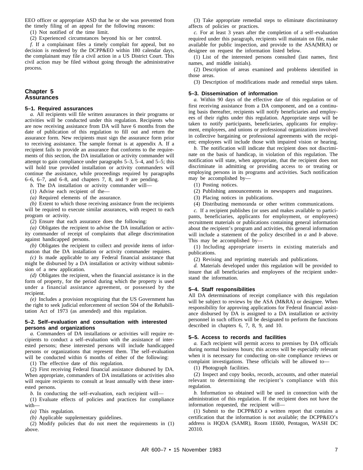EEO officer or appropriate ASD that he or she was prevented from the timely filing of an appeal for the following reasons:

(1) Not notified of the time limit.

(2) Experienced circumstances beyond his or her control.

*f.* If a complainant files a timely complait for appeal, but no decision is rendered by the DCPP&EO within 180 calendar days, the complainant may file a civil action in a US District Court. This civil action may be filed without going through the administrative process.

# **Chapter 5 Assurances**

#### **5–1. Required assurances**

*a.* All recipients will file written assurances in their programs or activities will be conducted under this regulation. Recipients who are now receiving assistance from DA will have 6 months from the date of publication of this regulation to fill out and return the assurance form. New recipients must sign the assurance form prior to receiving assistance. The sample format is at appendix A. If a recipient fails to provide an assurance that conforms to the requirements of this section, the DA installation or activity commander will attempt to gain compliance under paragraphs 5–3, 5–4, and 5–5; this will hold true provided installation or activity commanders will continue the assistance, while proceedings required by paragraphs 6–6, 6–7, and 6–8, and chapters 7, 8, and 9 are pending.

*b.* The DA installation or activity commander will—

(1) Advise each recipient of the—

*(a)* Required elements of the assurance.

*(b)* Extent to which those receiving assistance from the recipients will be required to execute similar assurances, with respect to each program or activity.

(2) Ensure that each assurance does the following:

*(a)* Obligates the recipient to advise the DA installation or activity commander of receipt of complaints that allege discrimination against handicapped persons.

*(b)* Obligates the recipient to collect and provide items of information that the DA installation or activity commander requires.

*(c)* Is made applicable to any Federal financial assistance that might be disbursed by a DA installation or activity without submission of a new application.

*(d)* Obligates the recipient, when the financial assistance is in the form of property, for the period during which the property is used under a financial assistance agreement, or possessed by the recipient.

*(e)* Includes a provision recognizing that the US Government has the right to seek judicial enforcement of section 504 of the Rehabilitation Act of 1973 (as amended) and this regulation.

#### **5–2. Self–evaluation and consultation with interested persons and organizations**

*a.* Commanders of DA installations or activities will require recipients to conduct a self–evaluation with the assistance of interested persons; these interested persons will include handicapped persons or organizations that represent them. The self–evaluation will be conducted within 6 months of either of the following:

(1) The effective date of this regulation.

(2) First receiving Federal financial assistance disbursed by DA. When appropriate, commanders of DA installations or activities also will require recipients to consult at least annually with these interested persons.

*b.* In conducting the self–evaluation, each recipient will—

 $(1)$  Evaluate effects of policies and practices for compliance with—

*(a)* This regulation.

*(b)* Applicable supplementary guidelines.

(2) Modify policies that do not meet the requirements in (1) above.

(3) Take appropriate remedial steps to eliminate discriminatory affects of policies or practices.

*c.* For at least 3 years after the completion of a self–evaluation required under this paragraph, recipients will maintain on file, make available for public inspection, and provide to the ASA(MRA) or designee on request the information listed below.

(1) List of the interested persons consulted (last names, first names, and middle initials).

(2) Description of areas examined and problems identified in those areas.

(3) Description of modifications made and remedial steps taken.

# **5–3. Dissemination of information**

*a.* Within 90 days of the effective date of this regulation or of first receiving assistance from a DA component, and on a continuing basis thereafter, recipients will notify beneficiaries and employees of their rights under this regulation. Appropriate steps will be taken to notify participants, beneficiaries, applicants for employment, employees, and unions or professional organizations involved in collective bargaining or professional agreements with the recipient; employees will include those with impaired vision or hearing.

*b.* The notification will indicate that recipient does not discriminate on the basis of handicap, in violation of this regulation. The notification will state, when appropriate, that the recipient does not discriminate in admitting or providing access to or treating or employing persons in its programs and activities. Such notification may be accomplished by—

(1) Posting notices.

(2) Publishing announcements in newspapers and magazines.

(3) Placing notices in publications.

(4) Distributing memoranda or other written communications.

*c.* If a recipient publishes (or uses and makes available to participants, beneficiaries, applicants for employment, or employees) recruitment materials or publications containing general information about the recipient's program and activities, this general information will include a statement of the policy described in *a* and *b* above. This may be accomplished by—

(1) Including appropriate inserts in existing materials and publications.

(2) Revising and reprinting materials and publications.

*d.* Materials developed under this regulation will be provided to insure that all beneficiaries and employees of the recipient understand the information.

# **5–4. Staff responsibilities**

All DA determinations of receipt compliance with this regulation will be subject to reviews by the ASA (M&RA) or designee. When responsibility for approving applications for Federal financial assistance disbursed by DA is assigned to a DA installation or activity personnel in such offices will be designated to perform the functions described in chapters 6, 7, 8, 9, and 10.

#### **5–5. Access to records and facilities**

*a.* Each recipient will permit access to premises by DA officials during normal business hours; this access will be especially relevant when it is necessary for conducting on–site compliance reviews or complaint investigations. These officials will be allowed to—

(1) Photograph facilities.

(2) Inspect and copy books, records, accounts, and other material relevant to determining the recipient's compliance with this regulation.

*b.* Information so obtained will be used in connection with the administration of this regulation. If the recipient does not have the information requested, the recipient will—

(1) Submit to the DCPP&EO a written report that contains a certification that the information is not available; the DCPP&EO's address is HQDA (SAMR), Room 1E600, Pentagon, WASH DC 20310.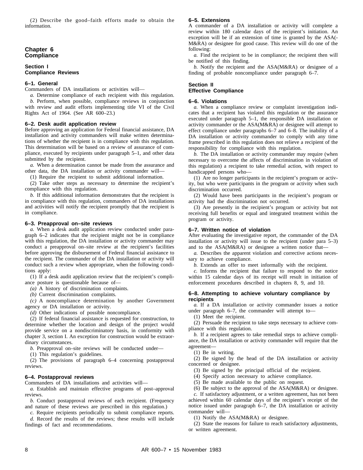(2) Describe the good-faith efforts made to obtain the information.

#### **Chapter 6 Compliance**

#### **Section I Compliance Reviews**

#### **6–1. General**

Commanders of DA installations or activities will—

*a.* Determine compliance of each recipient with this regulation. *b.* Perform, when possible, compliance reviews in conjunction with review and audit efforts implementing title VI of the Civil Rights Act of 1964. (See AR 600–23.)

#### **6–2. Desk audit application review**

Before approving an application for Federal financial assistance, DA installation and activity commanders will make written determinations of whether the recipient is in compliance with this regulation. This determination will be based on a review of assurance of compliance, executed by recipients under paragraph 5–1, and other data submitted by the recipient.

*a.* When a determination cannot be made from the assurance and other data, the DA installation or activity commander will—

(1) Require the recipient to submit additional information.

(2) Take other steps as necessary to determine the recipient's compliance with this regulation.

*b.* If this additional information demonstrates that the recipient is in compliance with this regulation, commanders of DA installations and activities will notify the recipient promptly that the recipient is in compliance.

#### **6–3. Preapproval on–site reviews**

*a.* When a desk audit application review conducted under paragraph 6–2 indicates that the recipient might not be in compliance with this regulation, the DA installation or activity commander may conduct a preapproval on–site review at the recipient's facilities before approving the disbursement of Federal financial assistance to the recipient. The commander of the DA installation or activity will conduct such a review when appropriate, when the following conditions apply:

(1) If a desk audit application review that the recipient's compliance posture is questionable because of—

*(a)* A history of discrimination complaints.

*(b)* Current discrimination complaints.

 $(c)$  A noncompliance determination by another Government agency or DA installation or activity.

*(d)* Other indications of possible noncompliance.

(2) If federal financial assistance is requested for construction, to determine whether the location and design of the project would provide service on a nondiscriminatory basis, in conformity with chapter 3, section I. An exception for construction would be extraordinary circumstances.

*b.* Preapproval on–site reviews will be conducted under—

(1) This regulation's guidelines.

(2) The provisions of paragraph  $6-4$  concerning postapproval reviews.

# **6–4. Postapproval reviews**

Commanders of DA installations and activities will—

*a.* Establish and maintain effective programs of post–approval reviews.

*b.* Conduct postapproval reviews of each recipient. (Frequency and nature of these reviews are prescribed in this regulation.)

*c.* Require recipients periodically to submit compliance reports.

*d.* Record the results of the reviews; these results will include findings of fact and recommendations.

#### **6–5. Extensions**

A commander of a DA installation or activity will complete a review within 180 calendar days of the recipient's initiation. An exception will be if an extension of time is granted by the ASA(- M&RA) or designee for good cause. This review will do one of the following:

*a.* Find the recipient to be in compliance; the recipient then will be notified of this finding.

*b.* Notify the recipient and the ASA(M&RA) or designee of a finding of probable noncompliance under paragraph 6–7.

# **Section II Effective Compliance**

#### **6–6. Violations**

*a.* When a compliance review or complaint investigation indicates that a recipient has violated this regulation or the assurance executed under paragraph 5–1, the responsible DA installation or activity commander or the ASA(M&RA) or designee will attempt to effect compliance under paragraphs 6–7 and 6–8. The inability of a DA installation or activity commander to comply with any time frame prescribed in this regulation does not relieve a recipient of the responsibility for compliance with this regulation.

*b.* The DA installation or activity commander may require (when necessary to overcome the affects of discrimination in violation of this regulation) a recipient to take remedial action, with respect to handicapped persons who—

(1) Are no longer participants in the recipient's program or activity, but who were participants in the program or activity when such discrimination occurred.

(2) Would have been participants in the recipient's program or activity had the discrimination not occurred.

(3) Are presently in the recipient's program or activity but not receiving full benefits or equal and integrated treatment within the program or activity.

#### **6–7. Written notice of violation**

After evaluating the investigative report, the commander of the DA installation or activity will issue to the recipient (under para 5–3) and to the ASA(M&RA) or designee a written notice that—

*a.* Describes the apparent violation and corrective actions necessary to achieve compliance.

*b.* Extends an offer to meet informally with the recipient.

*c.* Informs the recipient that failure to respond to the notice within 15 calendar days of its receipt will result in initiation of enforcement procedures described in chapters 8, 9, and 10.

#### **6–8. Attempting to achieve voluntary compliance by recipients**

*a.* If a DA installation or activity commander issues a notice under paragraph 6–7, the commander will attempt to—

(1) Meet the recipient.

(2) Persuade the recipient to take steps necessary to achieve compliance with this regulation.

*b.* If a recipient agrees to take remedial steps to achieve compliance, the DA installation or activity commander will require that the agreement—

(1) Be in writing.

(2) Be signed by the head of the DA installation or activity concerned or designee.

(3) Be signed by the principal official of the recipient.

(4) Specify action necessary to achieve compliance.

(5) Be made available to the public on request.

(6) Be subject to the approval of the ASA(M&RA) or designee.

*c.* If satisfactory adjustment, or a written agreement, has not been achieved within 60 calendar days of the recipient's receipt of the notice issued under paragraph 6–7, the DA installation or activity commander will—

(1) Notify the ASA(M&RA) or designee.

(2) State the reasons for failure to reach satisfactory adjustments, or written agreement.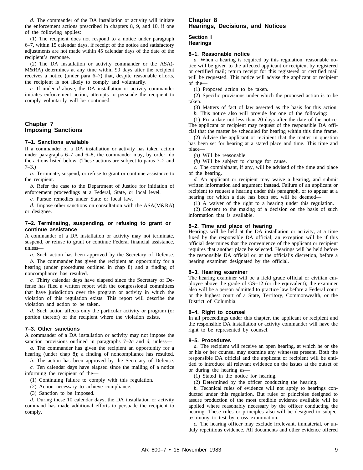*d.* The commander of the DA installation or activity will initiate the enforcement actions prescribed in chapters 8, 9, and 10, if one of the following applies:

(1) The recipient does not respond to a notice under paragraph 6–7, within 15 calendar days, if receipt of the notice and satisfactory adjustments are not made within 45 calendar days of the date of the recipient's response.

(2) The DA installation or activity commander or the ASA(- M&RA) determines at any time within 90 days after the recipient receives a notice (under para 6–7) that, despite reasonable efforts, the recipient is not likely to comply and voluntarily.

*e.* If under *d* above, the DA installation or activity commander initiates enforcement action, attempts to persuade the recipient to comply voluntarily will be continued.

# **Chapter 7 Imposing Sanctions**

#### **7–1. Sanctions available**

If a commander of a DA installation or activity has taken action under paragraphs 6–7 and 6–8, the commander may, by order, do the actions listed below. (These actions are subject to paras 7–2 and  $7-3.$ )

*a.* Terminate, suspend, or refuse to grant or continue assistance to the recipient.

*b.* Refer the case to the Department of Justice for initiation of enforcement proceedings at a Federal, State, or local level.

*c.* Pursue remedies under State or local law.

*d.* Impose other sanctions on consultation with the ASA(M&RA) or designee.

#### **7–2. Terminating, suspending, or refusing to grant or continue assistance**

A commander of a DA installation or activity may not terminate, suspend, or refuse to grant or continue Federal financial assistance, unless—

*a.* Such action has been approved by the Secretary of Defense.

*b.* The commander has given the recipient an opportunity for a hearing (under procedures outlined in chap 8) and a finding of noncompliance has resulted.

*c.* Thirty calendar days have elapsed since the Secretary of Defense has filed a written report with the congressional committees that have jurisdiction over the program or activity in which the violation of this regulation exists. This report will describe the violation and action to be taken.

*d.* Such action affects only the particular activity or program (or portion thereof) of the recipient where the violation exists.

#### **7–3. Other sanctions**

A commander of a DA installation or activity may not impose the sanction provisions outlined in paragraphs 7–2*c* and *d*, unless—

*a.* The commander has given the recipient an opportunity for a hearing (under chap 8); a finding of noncompliance has resulted.

*b.* The action has been approved by the Secretary of Defense. *c.* Ten calendar days have elapsed since the mailing of a notice informing the recipient of the—

(1) Continuing failure to comply with this regulation.

- (2) Action necessary to achieve compliance.
- (3) Sanction to be imposed.

*d.* During these 10 calendar days, the DA installation or activity command has made additional efforts to persuade the recipient to comply.

# **Chapter 8 Hearings, Decisions, and Notices**

#### **Section I Hearings**

#### **8–1. Reasonable notice**

*a.* When a hearing is required by this regulation, reasonable notice will be given to the affected applicant or recipient by registered or certified mail; return receipt for this registered or certified mail will be requested. This notice will advise the applicant or recipient of the—

(1) Proposed action to be taken.

(2) Specific provisions under which the proposed action is to be taken.

(3) Matters of fact of law asserted as the basis for this action.

*b.* This notice also will provide for one of the following:

(1) Fix a date not less than 20 days after the date of the notice. The applicant or recipient may request of the responsible DA official that the matter be scheduled for hearing within this time frame.

(2) Advise the applicant or recipient that the matter in question has been set for hearing at a stated place and time. This time and place—

*(a)* Will be reasonable.

*(b)* Will be subject to change for cause.

*c.* The complainant, if any, will be advised of the time and place of the hearing.

*d.* An applicant or recipient may waive a hearing, and submit written information and argument instead. Failure of an applicant or recipient to request a hearing under this paragraph, or to appear at a hearing for which a date has been set, will be deemed—

(1) A waiver of the right to a hearing under this regulation.

(2) Consent to the making of a decision on the basis of such information that is available.

#### **8–2. Time and place of hearing**

Hearings will be held at the DA installation or activity, at a time fixed by the responsible DA official; an exception will be if this official determines that the convenience of the applicant or recipient requires that another place be selected. Hearings will be held before the responsible DA official or, at the official's discretion, before a hearing examiner designated by the official.

#### **8–3. Hearing examiner**

The hearing examiner will be a field grade official or civilian employee above the grade of GS–12 (or the equivalent); the examiner also will be a person admitted to practice law before a Federal court or the highest court of a State, Territory, Commonwealth, or the District of Columbia.

#### **8–4. Right to counsel**

In all proceedings under this chapter, the applicant or recipient and the responsible DA installation or activity commander will have the right to be represented by counsel.

#### **8–5. Procedures**

*a.* The recipient will receive an open hearing, at which he or she or his or her counsel may examine any witnesses present. Both the responsible DA official and the applicant or recipient will be entitled to introduce all relevant evidence on the issues at the outset of or during the hearing as—

- (1) Stated in the notice for hearing.
- (2) Determined by the officer conducting the hearing.

*b.* Technical rules of evidence will not apply to hearings conducted under this regulation. But rules or principles designed to assure production of the most credible evidence available will be applied where reasonably necessary by the officer conducting the hearing. These rules or principles also will be designed to subject testimony to test by cross–examination.

*c.* The hearing officer may exclude irrelevant, immaterial, or unduly repetitious evidence. All documents and other evidence offered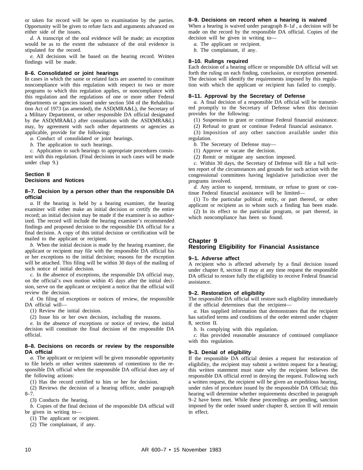or taken for record will be open to examination by the parties. Opportunity will be given to refute facts and arguments advanced on either side of the issues.

*d.* A transcript of the oral evidence will be made; an exception would be as to the extent the substance of the oral evidence is stipulated for the record.

*e.* All decisions will be based on the hearing record. Written findings will be made.

#### **8–6. Consolidated or joint hearings**

In cases in which the same or related facts are asserted to constitute noncompliance with this regulation with respect to two or more programs to which this regulation applies, or noncompliance with this regulation and the regulations of one or more other Federal departments or agencies issued under section 504 of the Rehabilitation Act of 1973 (as amended), the ASD(MRA&L), the Secretary of a Military Department, or other responsible DA official designated by the ASD(MRA&L) after consultation with the ASD(MRA&L) may, by agreement with such other departments or agencies as applicable, provide for the following:

*a.* Conduct of consolidated or joint hearings.

*b.* The application to such hearings.

*c.* Application to such hearings to appropriate procedures consistent with this regulation. (Final decisions in such cases will be made under chap 9.)

## **Section II Decisions and Notices**

#### **8–7. Decision by a person other than the responsible DA official**

*a.* If the hearing is held by a hearing examiner, the hearing examiner will either make an initial decision or certify the entire record; an initial decision may be made if the examiner is so authorized. The record will include the hearing examiner's recommended findings and proposed decision to the responsible DA official for a final decision. A copy of this initial decision or certification will be mailed to the applicant or recipient.

*b.* When the initial decision is made by the hearing examiner, the applicant or recipient may file with the responsible DA official his or her exceptions to the initial decision; reasons for the exception will be attached. This filing will be within 30 days of the mailing of such notice of initial decision.

*c.* In the absence of exceptions, the responsible DA official may, on the official's own motion within 45 days after the initial decision, serve on the applicant or recipient a notice that the official will review the decision.

*d.* On filing of exceptions or notices of review, the responsible DA official will—

(1) Review the initial decision.

(2) Issue his or her own decision, including the reasons.

*e.* In the absence of exceptions or notice of review, the initial decision will constitute the final decision of the responsible DA official.

#### **8–8. Decisions on records or review by the responsible DA official**

*a.* The applicant or recipient will be given reasonable opportunity to file briefs or other written statements of contentions to the responsible DA official when the responsible DA official does any of the following actions:

(1) Has the record certified to him or her for decision.

(2) Reviews the decision of a hearing officer, under paragraph 8–7.

(3) Conducts the hearing.

*b.* Copies of the final decision of the responsible DA official will be given in writing to—

(1) The applicant or recipient.

(2) The complainant, if any.

#### **8–9. Decisions on record when a hearing is waived**

When a hearing is waived under paragraph 8–1*d* , a decision will be made on the record by the responsible DA official. Copies of the decision will be given in writing to—

*a.* The applicant or recipient.

*b.* The complainant, if any.

#### **8–10. Rulings required**

Each decision of a hearing officer or responsible DA official will set forth the ruling on each finding, conclusion, or exception presented. The decision will identify the requirements imposed by this regulation with which the applicant or recipient has failed to comply.

#### **8–11. Approval by the Secretary of Defense**

*a.* A final decision of a responsible DA official will be transmitted promptly to the Secretary of Defense when this decision provides for the following:

(1) Suspension to grant or continue Federal financial assistance.

(2) Refusal to grant or continue Federal financial assistance.

(3) Imposition of any other sanction available under this regulation.

*b.* The Secretary of Defense may—

(1) Approve or vacate the decision.

(2) Remit or mitigate any sanction imposed.

*c.* Within 30 days, the Secretary of Defense will file a full written report of the circumstances and grounds for such action with the congressional committees having legislative jurisdiction over the programs involved.

*d.* Any action to suspend, terminate, or refuse to grant or continue Federal financial assistance will be limited—

(1) To the particular political entity, or part thereof, or other applicant or recipient as to whom such a finding has been made.

(2) In its effect to the particular program, or part thereof, in which noncompliance has been so found.

# **Chapter 9 Restoring Eligibility for Financial Assistance**

#### **9–1. Adverse affect**

A recipient who is affected adversely by a final decision issued under chapter 8, section II may at any time request the responsible DA official to restore fully the eligibility to receive Federal financial assistance.

#### **9–2. Restoration of eligibility**

The responsible DA official will restore such eligibility immediately if the official determines that the recipient—

*a.* Has supplied information that demonstrates that the recipient has satisfied terms and conditions of the order entered under chapter 8, section II.

*b.* Is complying with this regulation.

*c.* Has provided reasonable assurance of continued compliance with this regulation.

#### **9–3. Denial of eligibility**

If the responsible DA official denies a request for restoration of eligibility, the recipient may submit a written request for a hearing; this written statement must state why the recipient believes the responsible DA official erred in denying the request. Following such a written request, the recipient will be given an expeditious hearing, under rules of procedure issued by the responsible DA Official; this hearing will determine whether requirements described in paragraph 9–2 have been met. While these proceedings are pending, sanction imposed by the order issued under chapter 8, section II will remain in effect.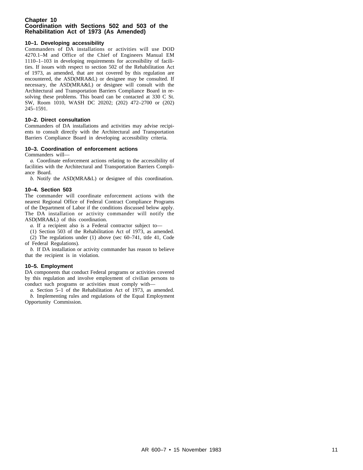#### **Chapter 10 Coordination with Sections 502 and 503 of the Rehabilitation Act of 1973 (As Amended)**

# **10–1. Developing accessibility**

Commanders of DA installations or activities will use DOD 4270.1-M and Office of the Chief of Engineers Manual EM 1110–1–103 in developing requirements for accessibility of facilities. If issues with respect to section 502 of the Rehabilitation Act of 1973, as amended, that are not covered by this regulation are encountered, the ASD(MRA&L) or designee may be consulted. If necessary, the ASD(MRA&L) or designee will consult with the Architectural and Transportation Barriers Compliance Board in resolving these problems. This board can be contacted at 330 C St. SW, Room 1010, WASH DC 20202; (202) 472–2700 or (202) 245–1591.

#### **10–2. Direct consultation**

Commanders of DA installations and activities may advise recipients to consult directly with the Architectural and Transportation Barriers Compliance Board in developing accessibility criteria.

## **10–3. Coordination of enforcement actions**

Commanders will—

*a.* Coordinate enforcement actions relating to the accessibility of facilities with the Architectural and Transportation Barriers Compliance Board.

*b.* Notify the ASD(MRA&L) or designee of this coordination.

## **10–4. Section 503**

The commander will coordinate enforcement actions with the nearest Regional Office of Federal Contract Compliance Programs of the Department of Labor if the conditions discussed below apply. The DA installation or activity commander will notify the ASD(MRA&L) of this coordination.

*a.* If a recipient also is a Federal contractor subject to—

(1) Section 503 of the Rehabilitation Act of 1973, as amended.

(2) The regulations under (1) above (sec 60–741, title 41, Code of Federal Regulations).

*b.* If DA installation or activity commander has reason to believe that the recipient is in violation.

#### **10–5. Employment**

DA components that conduct Federal programs or activities covered by this regulation and involve employment of civilian persons to conduct such programs or activities must comply with—

*a.* Section 5–1 of the Rehabilitation Act of 1973, as amended. *b.* Implementing rules and regulations of the Equal Employment Opportunity Commission.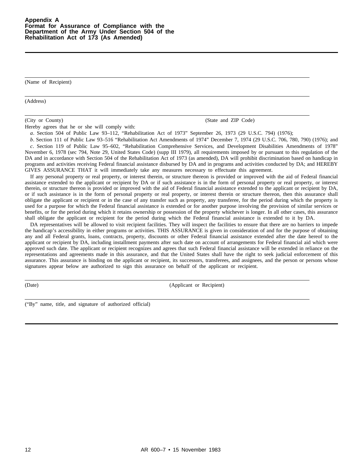(Name of Recipient)

(Address)

(City or County) (State and ZIP Code)

Hereby agrees that he or she will comply with:

*a.* Section 504 of Public Law 93–112, "Rehabilitation Act of 1973" September 26, 1973 (29 U.S.C. 794) (1976);

*b.* Section 111 of Public Law 93–516 "Rehabilitation Act Amendments of 1974" December 7, 1974 (29 U.S.C. 706, 780, 790) (1976); and *c.* Section 119 of Public Law 95–602, "Rehabilitation Comprehensive Services, and Development Disabilities Amendments of 1978" November 6, 1978 (sec 794, Note 29, United States Code) (supp III 1979), all requirements imposed by or pursuant to this regulation of the DA and in accordance with Section 504 of the Rehabilitation Act of 1973 (as amended), DA will prohibit discrimination based on handicap in programs and activities receiving Federal financial assistance disbursed by DA and in programs and activities conducted by DA; and HEREBY GIVES ASSURANCE THAT it will immediately take any measures necessary to effectuate this agreement.

If any personal property or real property, or interest therein, or structure thereon is provided or improved with the aid of Federal financial assistance extended to the applicant or recipient by DA or if such assistance is in the form of personal property or real property, or interest therein, or structure thereon is provided or improved with the aid of Federal financial assistance extended to the applicant or recipient by DA, or if such assistance is in the form of personal property or real property, or interest therein or structure thereon, then this assurance shall obligate the applicant or recipient or in the case of any transfer such as property, any transferee, for the period during which the property is used for a purpose for which the Federal financial assistance is extended or for another purpose involving the provision of similar services or benefits, or for the period during which it retains ownership or possession of the property whichever is longer. In all other cases, this assurance shall obligate the applicant or recipient for the period during which the Federal financial assistance is extended to it by DA.

DA representatives will be allowed to visit recipient facilities. They will inspect the facilities to ensure that there are no barriers to impede the handicap's accessibility in either programs or activities. THIS ASSURANCE is given in consideration of and for the purpose of obtaining any and all Federal grants, loans, contracts, property, discounts or other Federal financial assistance extended after the date hereof to the applicant or recipient by DA, including installment payments after such date on account of arrangements for Federal financial aid which were approved such date. The applicant or recipient recognizes and agrees that such Federal financial assistance will be extended in reliance on the representations and agreements made in this assurance, and that the United States shall have the right to seek judicial enforcement of this assurance. This assurance is binding on the applicant or recipient, its successors, transferees, and assignees, and the person or persons whose signatures appear below are authorized to sign this assurance on behalf of the applicant or recipient.

(Date) (Applicant or Recipient)

("By" name, title, and signature of authorized official)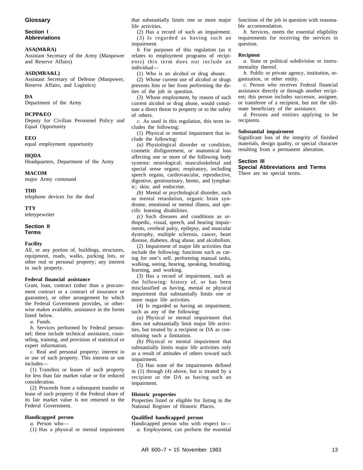# **Glossary**

#### **Section I Abbreviations**

#### **ASA(M&RA)**

Assistant Secretary of the Army (Manpower and Reserve Affairs)

#### **ASD(MRA&L)**

Assistant Secretary of Defense (Manpower, Reserve Affairs, and Logistics)

#### **DA**

Department of the Army

#### **DCPP&EO**

Deputy for Civilian Personnel Policy and Equal Opportunity

#### **EEO**

equal employment opportunity

# **HQDA**

Headquarters, Department of the Army

#### **MACOM**

major Army command

#### **TDD**

telephone devices for the deaf

#### **TTY**

teletypewriter

#### **Section II Terms**

#### **Facility**

All, or any portion of, buildings, structures, equipment, roads, walks, parking lots, or other real or personal property; any interest in such property.

#### **Federal financial assistance**

Grant, loan, contract (other than a procurement contract or a contract of insurance or guarantee), or other arrangement by which the Federal Government provides, or otherwise makes available, assistance in the forms listed below.

*a.* Funds.

*b.* Services performed by Federal personnel; these include technical assistance, counseling, training, and provision of statistical or expert information.

*c.* Real and personal property; interest in or use of such property. This interest or use includes—

(1) Transfers or leases of such property for less than fair market value or for reduced consideration.

(2) Proceeds from a subsequent transfer or lease of such property if the Federal share of its fair market value is not returned to the Federal Government.

#### **Handicapped person**

*a.* Person who—

(1) Has a physical or mental impairment

that substantially limits one or more major life activities.

(2) Has a record of such an impairment.  $(3)$  Is regarded as having such an impairment.

*b.* For purposes of this regulation (as it relates to employment programs of recipients) this term does not include an individual—

(1) Who is an alcohol or drug abuser.

(2) Whose current use of alcohol or drugs prevents him or her from performing the duties of the job in question.

(3) Whose employment, by reason of such current alcohol or drug abuse, would constitute a direct threat to property or to the safety of others.

*c.* As used in this regulation, this term includes the following:

(1) Physical or mental impairment that include the following:

(a) Physiological disorder or condition, cosmetic disfigurement, or anatomical loss affecting one or more of the following body systems: neurological; musculoskeletal and special sense organs; respiratory, including speech organs, cardiovascular, reproductive, digestive, genitourinary, hemic, and lymphatic; skin; and endocrine.

*(b)* Mental or psychological disorder, such as mental retardation, organic brain syndrome, emotional or mental illness, and specific learning disabilities.

 $(c)$  Such diseases and conditions as orthopedic, visual, speech, and hearing impairments, cerebral palsy, epilepsy, and muscular dy strophy, multiple sclerosis, cancer, heart disease, diabetes, drug abuse, and alcoholism.

(2) Impairment of major life activities that include the following: functions such as caring for one's self, performing manual tasks, walking, seeing, hearing, speaking, breathing, learning, and working.

(3) Has a record of impairment, such as the following: history of, or has been misclassified as having, mental or physical impairment that substantially limits one or more major life activities.

(4) Is regarded as having an impairment, such as any of the following:

*(a)* Physical or mental impairment that does not substantially limit major life activities, but treated by a recipient or DA as constituting such a limitation.

 $(b)$  Physical or mental impairment that substantially limits major life activities only as a result of attitudes of others toward such impairment.

(5) Has none of the impairments defined in (1) through (4) above, but is treated by a recipient or the DA as having such an impairment.

#### **Historic properties**

Properties listed or eligible for listing in the National Register of Historic Places.

#### **Qualified handicapped person**

Handicapped person who with respect to *a.* Employment, can perform the essential functions of the job in question with reasonable accommodation.

*b.* Services, meets the essential eligibility requirements for receiving the services in question.

#### **Recipient**

*a.* State or political subdivision or instrumentality thereof.

*b.* Public or private agency, institution, organization, or other entity.

*c.* Person who receives Federal financial assistance directly or through another recipient; this person includes successor, assignee, or transferee of a recipient, but not the ultimate beneficiary of the assistance.

*d*. Persons and entities applying to be recipients.

#### **Substantial impairment**

Significant loss of the integrity of finished materials, design quality, or special character resulting from a permanent alteration.

#### **Section III**

**Special Abbreviations and Terms** There are no special terms.